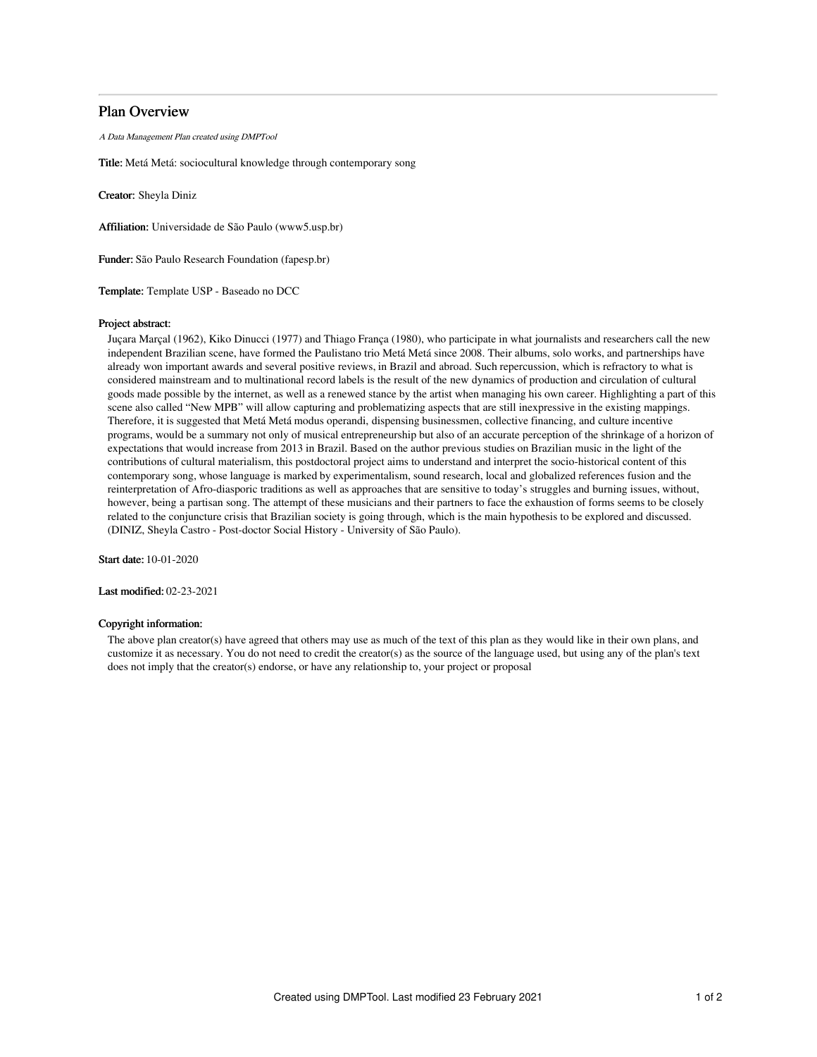# Plan Overview

A Data Management Plan created using DMPTool

Title: Metá Metá: sociocultural knowledge through contemporary song

Creator: Sheyla Diniz

Affiliation: Universidade de São Paulo (www5.usp.br)

Funder: São Paulo Research Foundation (fapesp.br)

Template: Template USP - Baseado no DCC

### Project abstract:

Juçara Marçal (1962), Kiko Dinucci (1977) and Thiago França (1980), who participate in what journalists and researchers call the new independent Brazilian scene, have formed the Paulistano trio Metá Metá since 2008. Their albums, solo works, and partnerships have already won important awards and several positive reviews, in Brazil and abroad. Such repercussion, which is refractory to what is considered mainstream and to multinational record labels is the result of the new dynamics of production and circulation of cultural goods made possible by the internet, as well as a renewed stance by the artist when managing his own career. Highlighting a part of this scene also called "New MPB" will allow capturing and problematizing aspects that are still inexpressive in the existing mappings. Therefore, it is suggested that Metá Metá modus operandi, dispensing businessmen, collective financing, and culture incentive programs, would be a summary not only of musical entrepreneurship but also of an accurate perception of the shrinkage of a horizon of expectations that would increase from 2013 in Brazil. Based on the author previous studies on Brazilian music in the light of the contributions of cultural materialism, this postdoctoral project aims to understand and interpret the socio-historical content of this contemporary song, whose language is marked by experimentalism, sound research, local and globalized references fusion and the reinterpretation of Afro-diasporic traditions as well as approaches that are sensitive to today's struggles and burning issues, without, however, being a partisan song. The attempt of these musicians and their partners to face the exhaustion of forms seems to be closely related to the conjuncture crisis that Brazilian society is going through, which is the main hypothesis to be explored and discussed. (DINIZ, Sheyla Castro - Post-doctor Social History - University of São Paulo).

Start date: 10-01-2020

Last modified: 02-23-2021

### Copyright information:

The above plan creator(s) have agreed that others may use as much of the text of this plan as they would like in their own plans, and customize it as necessary. You do not need to credit the creator(s) as the source of the language used, but using any of the plan's text does not imply that the creator(s) endorse, or have any relationship to, your project or proposal